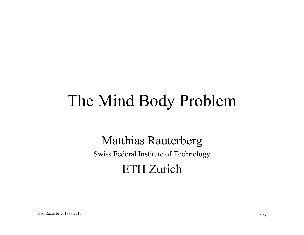# The Mind Body Problem

#### Matthias Rauterberg

Swiss Federal Institute of Technology

#### ETH Zurich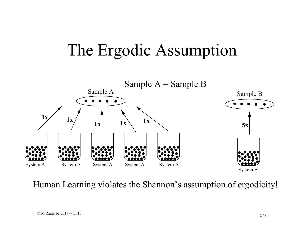### The Ergodic Assumption



Human Learning violates the Shannon's assumption of ergodicity!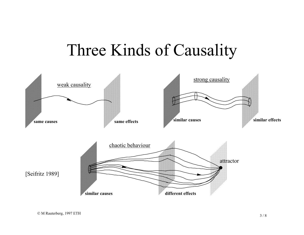#### Three Kinds of Causality

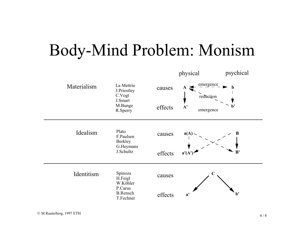## Body-Mind Problem: Monism

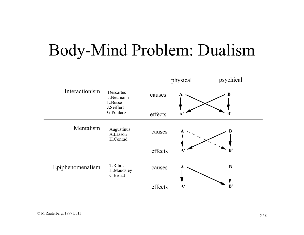## Body-Mind Problem: Dualism

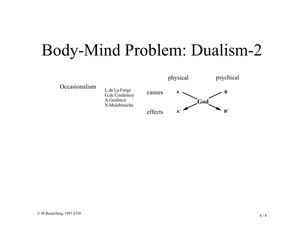## Body-Mind Problem: Dualism-2

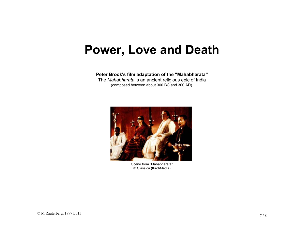#### **Power, Love and Death**

**Peter Brook's film adaptation of the "Mahabharata"** The *Mahabharata* is an ancient religious epic of India (composed between about 300 BC and 300 AD).



Scene from "Mahabharata"© Classica (KirchMedia)